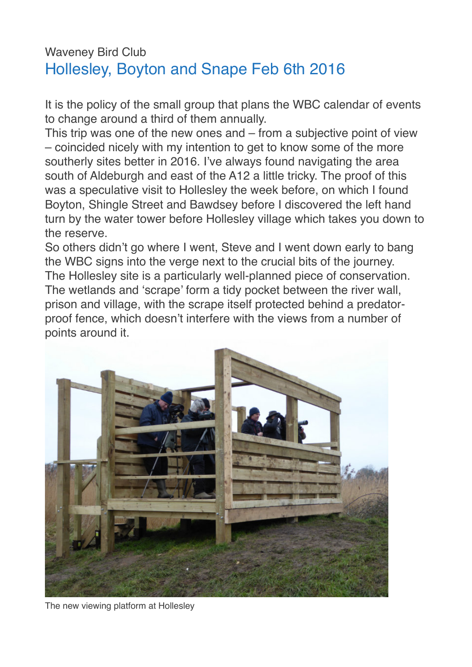## Waveney Bird Club Hollesley, Boyton and Snape Feb 6th 2016

It is the policy of the small group that plans the WBC calendar of events to change around a third of them annually.

This trip was one of the new ones and – from a subjective point of view – coincided nicely with my intention to get to know some of the more southerly sites better in 2016. I've always found navigating the area south of Aldeburgh and east of the A12 a little tricky. The proof of this was a speculative visit to Hollesley the week before, on which I found Boyton, Shingle Street and Bawdsey before I discovered the left hand turn by the water tower before Hollesley village which takes you down to the reserve.

So others didn't go where I went, Steve and I went down early to bang the WBC signs into the verge next to the crucial bits of the journey. The Hollesley site is a particularly well-planned piece of conservation. The wetlands and 'scrape' form a tidy pocket between the river wall, prison and village, with the scrape itself protected behind a predatorproof fence, which doesn't interfere with the views from a number of points around it.



The new viewing platform at Hollesley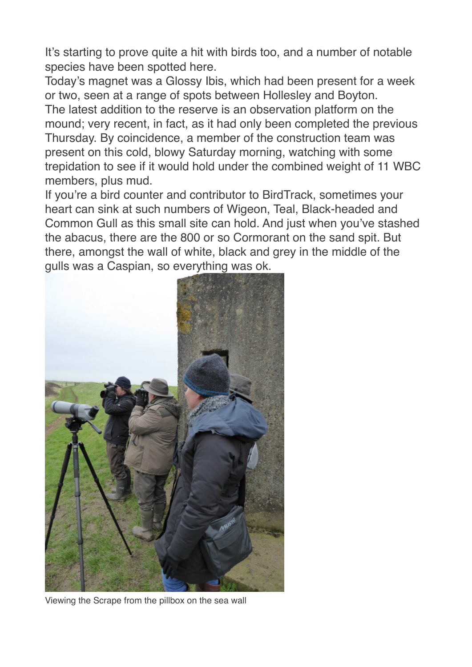It's starting to prove quite a hit with birds too, and a number of notable species have been spotted here.

Today's magnet was a Glossy Ibis, which had been present for a week or two, seen at a range of spots between Hollesley and Boyton. The latest addition to the reserve is an observation platform on the mound; very recent, in fact, as it had only been completed the previous Thursday. By coincidence, a member of the construction team was present on this cold, blowy Saturday morning, watching with some

trepidation to see if it would hold under the combined weight of 11 WBC members, plus mud.

If you're a bird counter and contributor to BirdTrack, sometimes your heart can sink at such numbers of Wigeon, Teal, Black-headed and Common Gull as this small site can hold. And just when you've stashed the abacus, there are the 800 or so Cormorant on the sand spit. But there, amongst the wall of white, black and grey in the middle of the gulls was a Caspian, so everything was ok.



Viewing the Scrape from the pillbox on the sea wall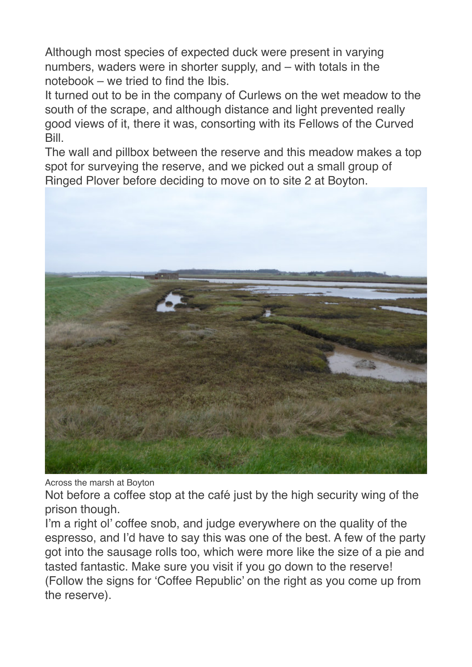Although most species of expected duck were present in varying numbers, waders were in shorter supply, and – with totals in the notebook – we tried to find the Ibis.

It turned out to be in the company of Curlews on the wet meadow to the south of the scrape, and although distance and light prevented really good views of it, there it was, consorting with its Fellows of the Curved Bill.

The wall and pillbox between the reserve and this meadow makes a top spot for surveying the reserve, and we picked out a small group of Ringed Plover before deciding to move on to site 2 at Boyton.



Across the marsh at Boyton

Not before a coffee stop at the café just by the high security wing of the prison though.

I'm a right ol' coffee snob, and judge everywhere on the quality of the espresso, and I'd have to say this was one of the best. A few of the party got into the sausage rolls too, which were more like the size of a pie and tasted fantastic. Make sure you visit if you go down to the reserve! (Follow the signs for 'Coffee Republic' on the right as you come up from the reserve).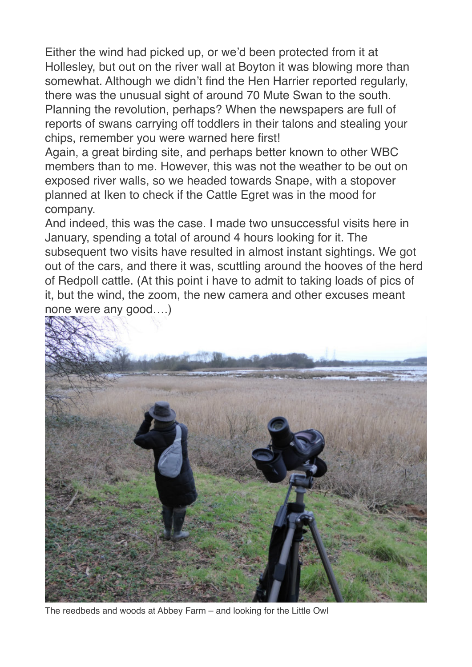Either the wind had picked up, or we'd been protected from it at Hollesley, but out on the river wall at Boyton it was blowing more than somewhat. Although we didn't find the Hen Harrier reported regularly, there was the unusual sight of around 70 Mute Swan to the south. Planning the revolution, perhaps? When the newspapers are full of reports of swans carrying off toddlers in their talons and stealing your chips, remember you were warned here first!

Again, a great birding site, and perhaps better known to other WBC members than to me. However, this was not the weather to be out on exposed river walls, so we headed towards Snape, with a stopover planned at Iken to check if the Cattle Egret was in the mood for company.

And indeed, this was the case. I made two unsuccessful visits here in January, spending a total of around 4 hours looking for it. The subsequent two visits have resulted in almost instant sightings. We got out of the cars, and there it was, scuttling around the hooves of the herd of Redpoll cattle. (At this point i have to admit to taking loads of pics of it, but the wind, the zoom, the new camera and other excuses meant none were any good….)



The reedbeds and woods at Abbey Farm – and looking for the Little Owl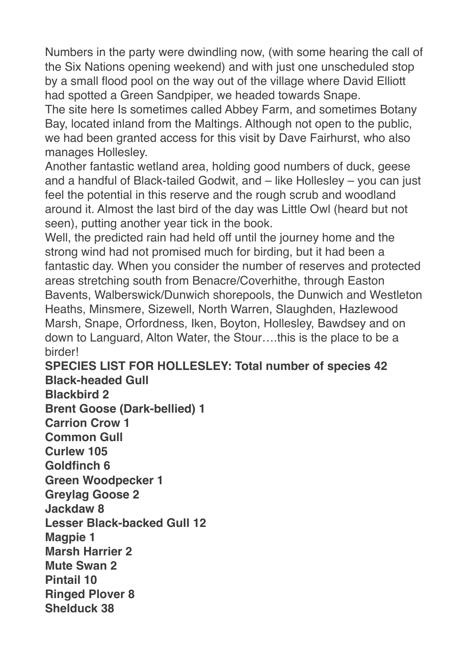Numbers in the party were dwindling now, (with some hearing the call of the Six Nations opening weekend) and with just one unscheduled stop by a small flood pool on the way out of the village where David Elliott had spotted a Green Sandpiper, we headed towards Snape.

The site here Is sometimes called Abbey Farm, and sometimes Botany Bay, located inland from the Maltings. Although not open to the public, we had been granted access for this visit by Dave Fairhurst, who also manages Hollesley.

Another fantastic wetland area, holding good numbers of duck, geese and a handful of Black-tailed Godwit, and – like Hollesley – you can just feel the potential in this reserve and the rough scrub and woodland around it. Almost the last bird of the day was Little Owl (heard but not seen), putting another year tick in the book.

Well, the predicted rain had held off until the journey home and the strong wind had not promised much for birding, but it had been a fantastic day. When you consider the number of reserves and protected areas stretching south from Benacre/Coverhithe, through Easton Bavents, Walberswick/Dunwich shorepools, the Dunwich and Westleton Heaths, Minsmere, Sizewell, North Warren, Slaughden, Hazlewood Marsh, Snape, Orfordness, Iken, Boyton, Hollesley, Bawdsey and on down to Languard, Alton Water, the Stour….this is the place to be a birder!

## **SPECIES LIST FOR HOLLESLEY: Total number of species 42 Black-headed Gull**

**Blackbird 2 Brent Goose (Dark-bellied) 1 Carrion Crow 1 Common Gull Curlew 105 Goldfinch 6 Green Woodpecker 1 Greylag Goose 2 Jackdaw 8 Lesser Black-backed Gull 12 Magpie 1 Marsh Harrier 2 Mute Swan 2 Pintail 10 Ringed Plover 8 Shelduck 38**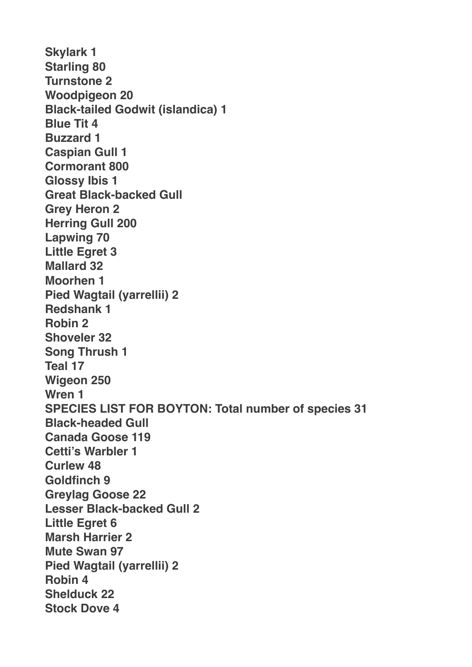**Skylark 1 Starling 80 Turnstone 2 Woodpigeon 20 Black-tailed Godwit (islandica) 1 Blue Tit 4 Buzzard 1 Caspian Gull 1 Cormorant 800 Glossy Ibis 1 Great Black-backed Gull Grey Heron 2 Herring Gull 200 Lapwing 70 Little Egret 3 Mallard 32 Moorhen 1 Pied Wagtail (yarrellii) 2 Redshank 1 Robin 2 Shoveler 32 Song Thrush 1 Teal 17 Wigeon 250 Wren 1 SPECIES LIST FOR BOYTON: Total number of species 31 Black-headed Gull Canada Goose 119 Cetti's Warbler 1 Curlew 48 Goldfinch 9 Greylag Goose 22 Lesser Black-backed Gull 2 Little Egret 6 Marsh Harrier 2 Mute Swan 97 Pied Wagtail (yarrellii) 2 Robin 4 Shelduck 22 Stock Dove 4**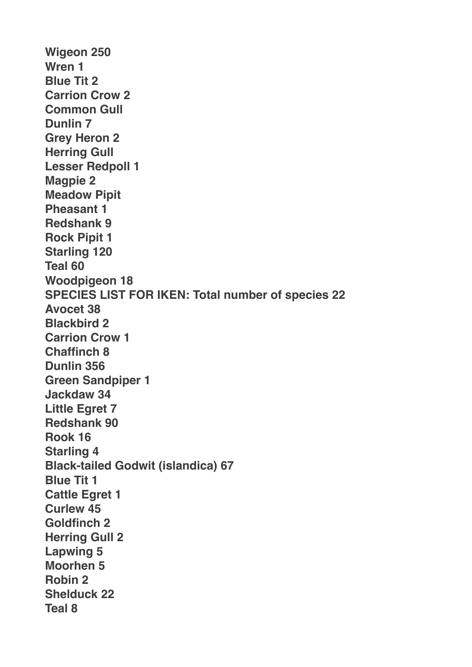**Wigeon 250 Wren 1 Blue Tit 2 Carrion Crow 2 Common Gull Dunlin 7 Grey Heron 2 Herring Gull Lesser Redpoll 1 Magpie 2 Meadow Pipit Pheasant 1 Redshank 9 Rock Pipit 1 Starling 120 Teal 60 Woodpigeon 18 SPECIES LIST FOR IKEN: Total number of species 22 Avocet 38 Blackbird 2 Carrion Crow 1 Chaffinch 8 Dunlin 356 Green Sandpiper 1 Jackdaw 34 Little Egret 7 Redshank 90 Rook 16 Starling 4 Black-tailed Godwit (islandica) 67 Blue Tit 1 Cattle Egret 1 Curlew 45 Goldfinch 2 Herring Gull 2 Lapwing 5 Moorhen 5 Robin 2 Shelduck 22 Teal 8**